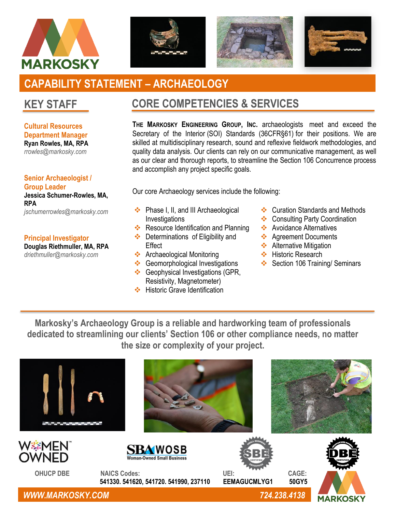







# **CAPABILITY STATEMENT – ARCHAEOLOGY**

# **KEY STAFF**

**Cultural Resources Department Manager Ryan Rowles, MA, RPA** *rrowles@markosky.com*

**Senior Archaeologist / Group Leader Jessica Schumer-Rowles, MA, RPA** *jschumerrowles@markosky.com*

### **Principal Investigator**

**Douglas Riethmuller, MA, RPA** *driethmuller@markosky.com*

# **CORE COMPETENCIES & SERVICES**

**THE MARKOSKY ENGINEERING GROUP, INC.** archaeologists meet and exceed the Secretary of the Interior (SOI) Standards (36CFR§61) for their positions. We are skilled at multidisciplinary research, sound and reflexive fieldwork methodologies, and quality data analysis. Our clients can rely on our communicative management, as well as our clear and thorough reports, to streamline the Section 106 Concurrence process and accomplish any project specific goals.

Our core Archaeology services include the following:

- ❖ Phase I, II, and III Archaeological **Investigations**
- ❖ Resource Identification and Planning
- ❖ Determinations of Eligibility and **Effect**
- ❖ Archaeological Monitoring
- ❖ Geomorphological Investigations ❖ Geophysical Investigations (GPR,
- Resistivity, Magnetometer) ❖ Historic Grave Identification
- 
- ❖ Curation Standards and Methods
- ❖ Consulting Party Coordination
- ❖ Avoidance Alternatives
- ❖ Agreement Documents
- **❖** Alternative Mitigation
- ❖ Historic Research
- ❖ Section 106 Training/ Seminars

**Markosky's Archaeology Group is a reliable and hardworking team of professionals dedicated to streamlining our clients' Section 106 or other compliance needs, no matter the size or complexity of your project.**